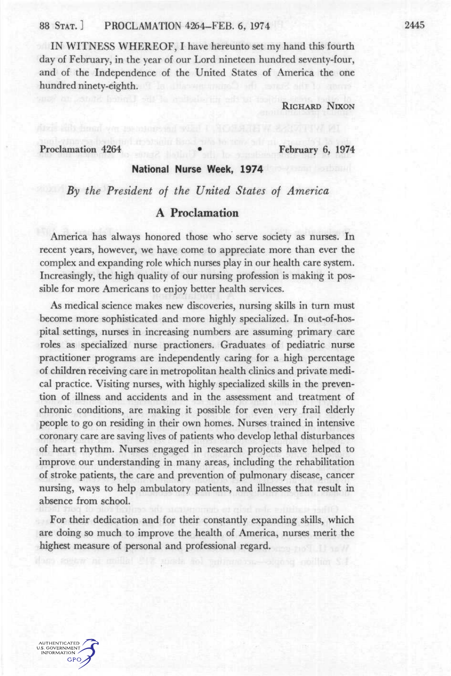#### 88 STAT. PROCLAMATION 4264–FEB. 6, 1974 2445

IN WITNESS WHEREOF, I have hereunto set my hand this fourth day of February, in the year of our Lord nineteen hundred seventy-four, and of the Independence of the United States of America the one hundred ninety-eighth.

RICHARD NIXON

Proclamation 4264 **•** February 6, 1974

## **National Nurse Week, 1974**

#### *By the President of the United States of America*

## **A Proclamation**

America has always honored those who serve society as nurses. In recent years, however, we have come to appreciate more than ever the complex and expanding role which nurses play in our health care system. Increasingly, the high quality of our nursing profession is making it possible for more Americans to enjoy better health services.

As medical science makes new discoveries, nursing skills in turn must become more sophisticated and more highly specialized. In out-of-hospital settings, nurses in increasing numbers are assuming primary care roles as specialized nurse practioners. Graduates of pediatric nurse practitioner programs are independently caring for a high percentage of children receiving care in metropolitan health clinics and private medical practice. Visiting nurses, with highly specialized skills in the prevention of illness and accidents and in the assessment and treatment of chronic conditions, are making it possible for even very frail elderly people to go on residing in their own homes. Nurses trained in intensive coronary care are saving lives of patients who develop lethal disturbances of heart rhythm. Nurses engaged in research projects have helped to improve our understanding in many areas, including the rehabilitation of stroke patients, the care and prevention of pulmonary disease, cancer nursing, ways to help ambulatory patients, and illnesses that result in absence from school.

For their dedication and for their constantly expanding skills, which are doing so much to improve the health of America, nurses merit the highest measure of personal and professional regard.